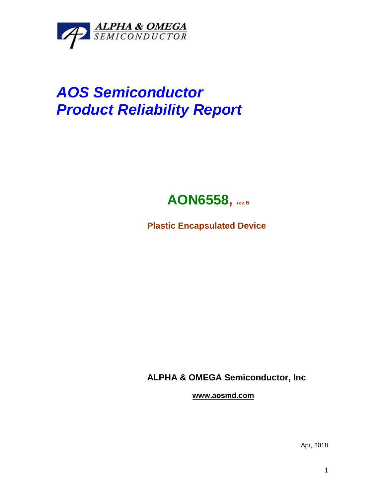

## *AOS Semiconductor Product Reliability Report*



**Plastic Encapsulated Device**

**ALPHA & OMEGA Semiconductor, Inc**

**www.aosmd.com**

Apr, 2018